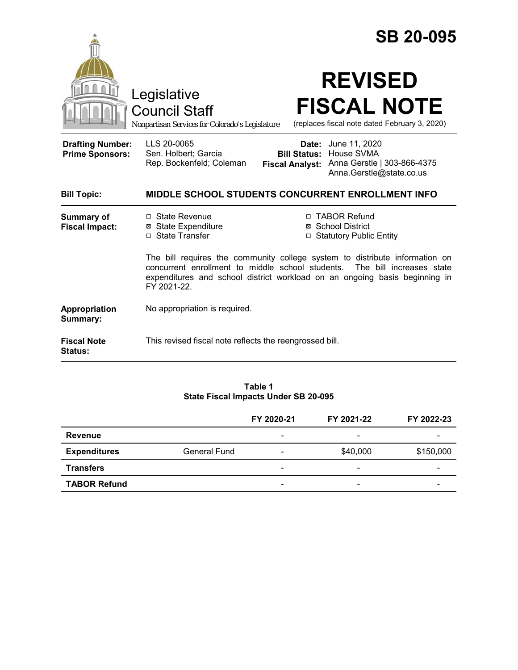|                                                   |                                                                                                                                                                                                                                                          | <b>SB 20-095</b>                                                                                                                        |  |  |  |
|---------------------------------------------------|----------------------------------------------------------------------------------------------------------------------------------------------------------------------------------------------------------------------------------------------------------|-----------------------------------------------------------------------------------------------------------------------------------------|--|--|--|
|                                                   | Legislative<br><b>Council Staff</b><br>Nonpartisan Services for Colorado's Legislature                                                                                                                                                                   | <b>REVISED</b><br><b>FISCAL NOTE</b><br>(replaces fiscal note dated February 3, 2020)                                                   |  |  |  |
| <b>Drafting Number:</b><br><b>Prime Sponsors:</b> | LLS 20-0065<br>Sen. Holbert; Garcia<br>Rep. Bockenfeld; Coleman                                                                                                                                                                                          | <b>Date:</b> June 11, 2020<br><b>Bill Status: House SVMA</b><br>Fiscal Analyst: Anna Gerstle   303-866-4375<br>Anna.Gerstle@state.co.us |  |  |  |
| <b>Bill Topic:</b>                                | <b>MIDDLE SCHOOL STUDENTS CONCURRENT ENROLLMENT INFO</b>                                                                                                                                                                                                 |                                                                                                                                         |  |  |  |
| <b>Summary of</b><br><b>Fiscal Impact:</b>        | $\Box$ State Revenue<br><b>⊠</b> State Expenditure<br>□ State Transfer                                                                                                                                                                                   | □ TABOR Refund<br>⊠ School District<br>□ Statutory Public Entity                                                                        |  |  |  |
|                                                   | The bill requires the community college system to distribute information on<br>concurrent enrollment to middle school students.<br>The bill increases state<br>expenditures and school district workload on an ongoing basis beginning in<br>FY 2021-22. |                                                                                                                                         |  |  |  |
| Appropriation<br>Summary:                         | No appropriation is required.                                                                                                                                                                                                                            |                                                                                                                                         |  |  |  |
| <b>Fiscal Note</b><br>Status:                     | This revised fiscal note reflects the reengrossed bill.                                                                                                                                                                                                  |                                                                                                                                         |  |  |  |

#### **Table 1 State Fiscal Impacts Under SB 20-095**

|                     |              | FY 2020-21               | FY 2021-22               | FY 2022-23 |
|---------------------|--------------|--------------------------|--------------------------|------------|
| Revenue             |              | $\overline{\phantom{0}}$ | $\overline{\phantom{a}}$ |            |
| <b>Expenditures</b> | General Fund | $\overline{\phantom{0}}$ | \$40,000                 | \$150,000  |
| <b>Transfers</b>    |              | -                        | -                        |            |
| <b>TABOR Refund</b> |              | $\overline{\phantom{0}}$ | $\overline{\phantom{a}}$ | -          |